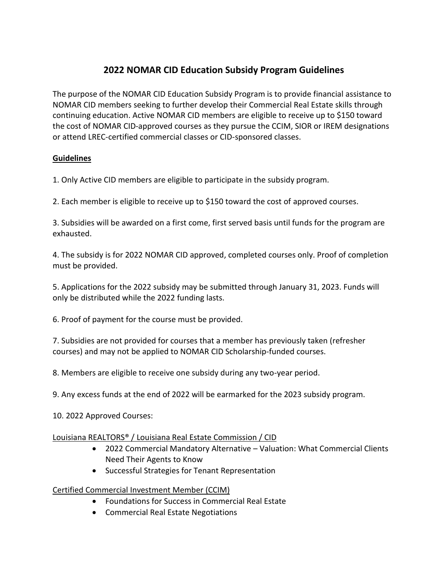# **2022 NOMAR CID Education Subsidy Program Guidelines**

The purpose of the NOMAR CID Education Subsidy Program is to provide financial assistance to NOMAR CID members seeking to further develop their Commercial Real Estate skills through continuing education. Active NOMAR CID members are eligible to receive up to \$150 toward the cost of NOMAR CID-approved courses as they pursue the CCIM, SIOR or IREM designations or attend LREC-certified commercial classes or CID-sponsored classes.

# **Guidelines**

1. Only Active CID members are eligible to participate in the subsidy program.

2. Each member is eligible to receive up to \$150 toward the cost of approved courses.

3. Subsidies will be awarded on a first come, first served basis until funds for the program are exhausted.

4. The subsidy is for 2022 NOMAR CID approved, completed courses only. Proof of completion must be provided.

5. Applications for the 2022 subsidy may be submitted through January 31, 2023. Funds will only be distributed while the 2022 funding lasts.

6. Proof of payment for the course must be provided.

7. Subsidies are not provided for courses that a member has previously taken (refresher courses) and may not be applied to NOMAR CID Scholarship-funded courses.

8. Members are eligible to receive one subsidy during any two-year period.

9. Any excess funds at the end of 2022 will be earmarked for the 2023 subsidy program.

10. 2022 Approved Courses:

# Louisiana REALTORS® / Louisiana Real Estate Commission / CID

- 2022 Commercial Mandatory Alternative Valuation: What Commercial Clients Need Their Agents to Know
- Successful Strategies for Tenant Representation

# Certified Commercial Investment Member (CCIM)

- Foundations for Success in Commercial Real Estate
- Commercial Real Estate Negotiations